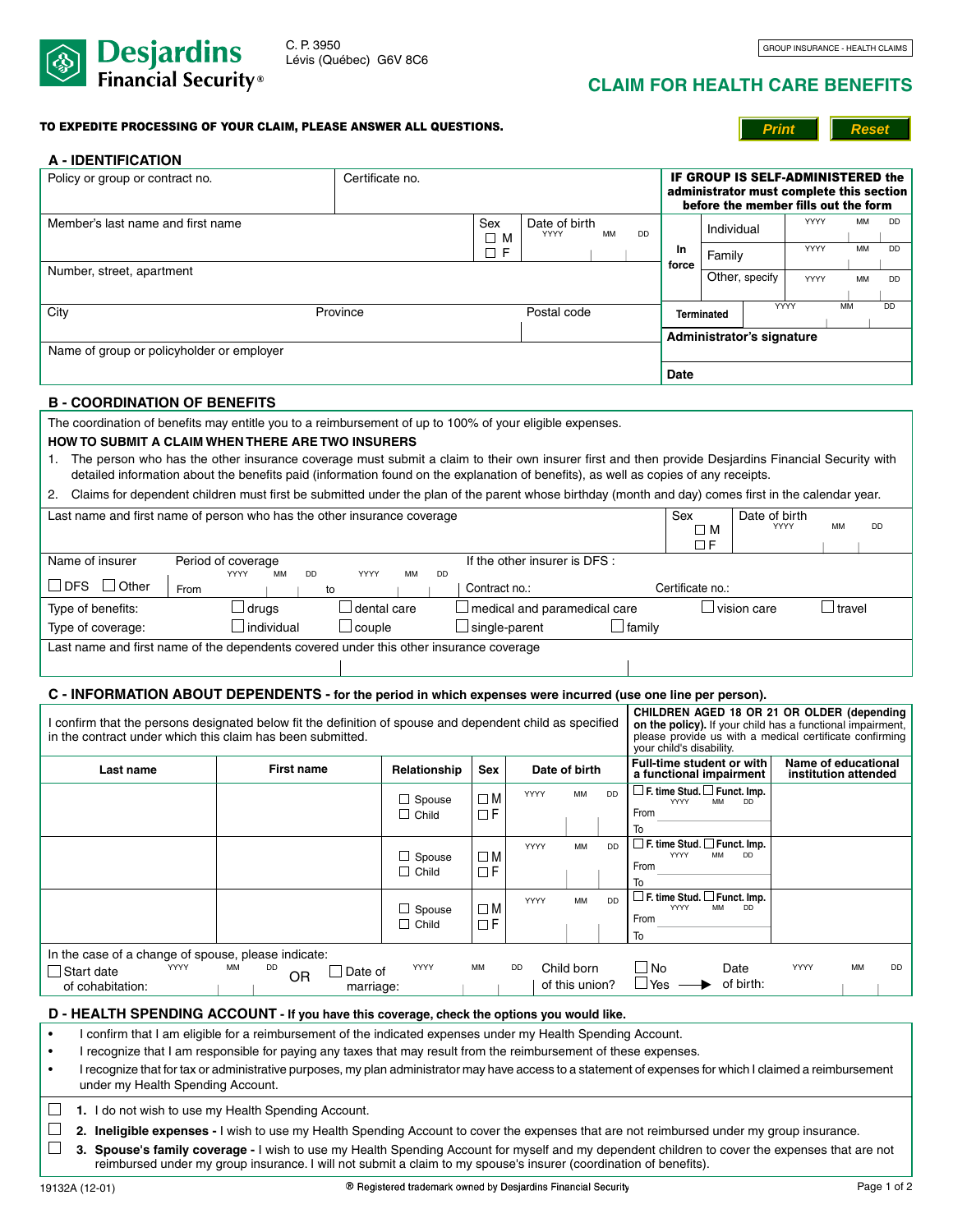

# **CLAIM FOR health care benefits**

#### TO EXPEDITE PROCESSING OF YOUR CLAIM, PLEASE ANSWER ALL QUESTIONS.

**Print Reset**

| A - IDENTIFICATION                                                                                                                                                                                                      |                                             |                         |                    |      |                               |           |                            |                                                       |                                                                                                                       |                                                      |                                                                                                                                                                     |               |           |           |
|-------------------------------------------------------------------------------------------------------------------------------------------------------------------------------------------------------------------------|---------------------------------------------|-------------------------|--------------------|------|-------------------------------|-----------|----------------------------|-------------------------------------------------------|-----------------------------------------------------------------------------------------------------------------------|------------------------------------------------------|---------------------------------------------------------------------------------------------------------------------------------------------------------------------|---------------|-----------|-----------|
| Policy or group or contract no.                                                                                                                                                                                         |                                             | Certificate no.         |                    |      |                               |           |                            |                                                       | IF GROUP IS SELF-ADMINISTERED the<br>administrator must complete this section<br>before the member fills out the form |                                                      |                                                                                                                                                                     |               |           |           |
| Member's last name and first name                                                                                                                                                                                       |                                             |                         | Sex<br>$\square$ M |      | Date of birth<br>YYYY         | MM        | DD                         |                                                       |                                                                                                                       | Individual                                           | YYYY                                                                                                                                                                |               | MM        | <b>DD</b> |
|                                                                                                                                                                                                                         |                                             | $\Box F$                |                    |      |                               |           | <b>In</b><br>force         | Family                                                |                                                                                                                       | YYYY                                                 |                                                                                                                                                                     | MM            | DD        |           |
| Number, street, apartment                                                                                                                                                                                               |                                             |                         |                    |      |                               |           |                            |                                                       |                                                                                                                       | Other, specify                                       | YYYY                                                                                                                                                                |               | MM        | DD        |
| City                                                                                                                                                                                                                    |                                             | Province                |                    |      | Postal code                   |           |                            |                                                       | <b>Terminated</b>                                                                                                     |                                                      | YYYY                                                                                                                                                                | MM            |           | <b>DD</b> |
|                                                                                                                                                                                                                         |                                             |                         |                    |      |                               |           |                            |                                                       |                                                                                                                       | Administrator's signature                            |                                                                                                                                                                     |               |           |           |
| Name of group or policyholder or employer                                                                                                                                                                               |                                             |                         |                    |      |                               |           |                            | <b>Date</b>                                           |                                                                                                                       |                                                      |                                                                                                                                                                     |               |           |           |
| <b>B - COORDINATION OF BENEFITS</b>                                                                                                                                                                                     |                                             |                         |                    |      |                               |           |                            |                                                       |                                                                                                                       |                                                      |                                                                                                                                                                     |               |           |           |
| The coordination of benefits may entitle you to a reimbursement of up to 100% of your eligible expenses.                                                                                                                |                                             |                         |                    |      |                               |           |                            |                                                       |                                                                                                                       |                                                      |                                                                                                                                                                     |               |           |           |
| <b>HOW TO SUBMIT A CLAIM WHEN THERE ARE TWO INSURERS</b>                                                                                                                                                                |                                             |                         |                    |      |                               |           |                            |                                                       |                                                                                                                       |                                                      |                                                                                                                                                                     |               |           |           |
| 1. The person who has the other insurance coverage must submit a claim to their own insurer first and then provide Desjardins Financial Security with                                                                   |                                             |                         |                    |      |                               |           |                            |                                                       |                                                                                                                       |                                                      |                                                                                                                                                                     |               |           |           |
| detailed information about the benefits paid (information found on the explanation of benefits), as well as copies of any receipts.                                                                                     |                                             |                         |                    |      |                               |           |                            |                                                       |                                                                                                                       |                                                      |                                                                                                                                                                     |               |           |           |
| Claims for dependent children must first be submitted under the plan of the parent whose birthday (month and day) comes first in the calendar year.<br>2.                                                               |                                             |                         |                    |      |                               |           |                            |                                                       |                                                                                                                       |                                                      |                                                                                                                                                                     |               |           |           |
| Last name and first name of person who has the other insurance coverage                                                                                                                                                 |                                             |                         |                    |      |                               |           |                            | Sex                                                   | ΠМ<br>$\Box F$                                                                                                        | Date of birth                                        | YYYY                                                                                                                                                                | MM            | <b>DD</b> |           |
| Name of insurer                                                                                                                                                                                                         | Period of coverage                          |                         |                    |      | If the other insurer is DFS : |           |                            |                                                       |                                                                                                                       |                                                      |                                                                                                                                                                     |               |           |           |
| l IDFS<br>$\Box$ Other<br>From                                                                                                                                                                                          | <b>YYYY</b><br><b>MM</b><br><b>DD</b><br>to | YYYY<br><b>DD</b><br>MM | Contract no.:      |      |                               |           |                            | Certificate no.:                                      |                                                                                                                       |                                                      |                                                                                                                                                                     |               |           |           |
| Type of benefits:                                                                                                                                                                                                       | $\Box$ drugs                                | dental care             |                    |      | medical and paramedical care  |           |                            |                                                       |                                                                                                                       | $\Box$ vision care                                   |                                                                                                                                                                     | $\Box$ travel |           |           |
| Type of coverage:                                                                                                                                                                                                       | $\Box$ individual                           | $\Box$ couple           |                    |      |                               |           | $\Box$ family              |                                                       |                                                                                                                       |                                                      |                                                                                                                                                                     |               |           |           |
| Last name and first name of the dependents covered under this other insurance coverage                                                                                                                                  |                                             |                         |                    |      |                               |           |                            |                                                       |                                                                                                                       |                                                      |                                                                                                                                                                     |               |           |           |
| C - INFORMATION ABOUT DEPENDENTS - for the period in which expenses were incurred (use one line per person).                                                                                                            |                                             |                         |                    |      |                               |           |                            |                                                       |                                                                                                                       |                                                      |                                                                                                                                                                     |               |           |           |
| I confirm that the persons designated below fit the definition of spouse and dependent child as specified<br>in the contract under which this claim has been submitted.                                                 |                                             |                         |                    |      |                               |           |                            | your child's disability.                              |                                                                                                                       |                                                      | CHILDREN AGED 18 OR 21 OR OLDER (depending<br>on the policy). If your child has a functional impairment,<br>please provide us with a medical certificate confirming |               |           |           |
| Last name                                                                                                                                                                                                               | <b>First name</b>                           | Relationship            | <b>Sex</b>         |      | Date of birth                 |           |                            |                                                       |                                                                                                                       | Full-time student or with<br>a functional impairment | Name of educational<br>institution attended                                                                                                                         |               |           |           |
|                                                                                                                                                                                                                         |                                             | $\Box$ Spouse           | $\square$ M        | YYYY | MM                            | <b>DD</b> |                            | $\Box$ F. time Stud. $\Box$ Funct. Imp.<br>YYYY       | MM                                                                                                                    | <b>DD</b>                                            |                                                                                                                                                                     |               |           |           |
|                                                                                                                                                                                                                         |                                             | $\Box$ Child            | ΠF                 |      |                               |           | From                       |                                                       |                                                                                                                       |                                                      |                                                                                                                                                                     |               |           |           |
|                                                                                                                                                                                                                         |                                             |                         |                    | YYYY | MM                            | DD        | To                         | □ F. time Stud. □ Funct. Imp.                         |                                                                                                                       |                                                      |                                                                                                                                                                     |               |           |           |
|                                                                                                                                                                                                                         |                                             | $\Box$ Spouse           | $\Box$ M           |      |                               |           | From                       | YYYY                                                  | MM                                                                                                                    | <b>DD</b>                                            |                                                                                                                                                                     |               |           |           |
|                                                                                                                                                                                                                         |                                             | $\Box$ Child            | ΠF                 |      |                               |           | To                         |                                                       |                                                                                                                       |                                                      |                                                                                                                                                                     |               |           |           |
|                                                                                                                                                                                                                         |                                             | $\Box$ Spouse           | $\Box$ M           | YYYY | MM                            | DD        |                            | $\square$ F. time Stud. $\square$ Funct. Imp.<br>YYYY | MM                                                                                                                    | DD                                                   |                                                                                                                                                                     |               |           |           |
|                                                                                                                                                                                                                         |                                             | $\Box$ Child            | $\Box F$           |      |                               |           | From<br>To                 |                                                       |                                                                                                                       |                                                      |                                                                                                                                                                     |               |           |           |
| In the case of a change of spouse, please indicate:                                                                                                                                                                     |                                             |                         |                    |      |                               |           |                            |                                                       |                                                                                                                       |                                                      |                                                                                                                                                                     |               |           |           |
| YYYY<br>$\Box$ Start date                                                                                                                                                                                               | МM<br>DD<br>OR                              | YYYY<br>Date of         | МM                 | DD   | Child born<br>of this union?  |           | $\square$ No<br>$\Box$ Yes |                                                       |                                                                                                                       | Date<br>of birth:                                    | YYYY                                                                                                                                                                |               | MM        | DD        |
| of cohabitation:                                                                                                                                                                                                        |                                             | marriage:               |                    |      |                               |           |                            |                                                       |                                                                                                                       |                                                      |                                                                                                                                                                     |               |           |           |
| D - HEALTH SPENDING ACCOUNT - If you have this coverage, check the options you would like.<br>I confirm that I am eligible for a reimbursement of the indicated expenses under my Health Spending Account.<br>$\bullet$ |                                             |                         |                    |      |                               |           |                            |                                                       |                                                                                                                       |                                                      |                                                                                                                                                                     |               |           |           |
| I recognize that I am responsible for paying any taxes that may result from the reimbursement of these expenses.<br>$\bullet$                                                                                           |                                             |                         |                    |      |                               |           |                            |                                                       |                                                                                                                       |                                                      |                                                                                                                                                                     |               |           |           |
| I recognize that for tax or administrative purposes, my plan administrator may have access to a statement of expenses for which I claimed a reimbursement<br>$\bullet$<br>under my Health Spending Account.             |                                             |                         |                    |      |                               |           |                            |                                                       |                                                                                                                       |                                                      |                                                                                                                                                                     |               |           |           |
| 1. I do not wish to use my Health Spending Account.                                                                                                                                                                     |                                             |                         |                    |      |                               |           |                            |                                                       |                                                                                                                       |                                                      |                                                                                                                                                                     |               |           |           |
| 2. Ineligible expenses - I wish to use my Health Spending Account to cover the expenses that are not reimbursed under my group insurance.                                                                               |                                             |                         |                    |      |                               |           |                            |                                                       |                                                                                                                       |                                                      |                                                                                                                                                                     |               |           |           |

**3. Spouse's family coverage -** I wish to use my Health Spending Account for myself and my dependent children to cover the expenses that are not reimbursed under my group insurance. I will not submit a claim to my spouse's insurer (coordination of benefits).